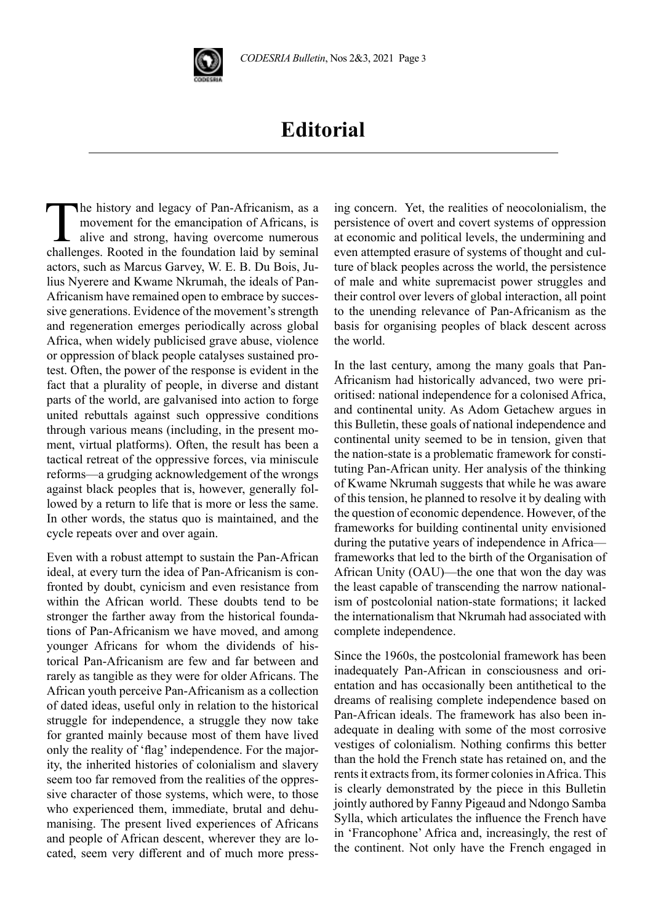

## **Editorial**

The history and legacy of Pan-Africanism, as a movement for the emancipation of Africans, is alive and strong, having overcome numerous challenges. Rooted in the foundation laid by seminal actors, such as Marcus Garvey, W. E. B. Du Bois, Julius Nyerere and Kwame Nkrumah, the ideals of Pan-Africanism have remained open to embrace by successive generations. Evidence of the movement's strength and regeneration emerges periodically across global Africa, when widely publicised grave abuse, violence or oppression of black people catalyses sustained protest. Often, the power of the response is evident in the fact that a plurality of people, in diverse and distant parts of the world, are galvanised into action to forge united rebuttals against such oppressive conditions through various means (including, in the present moment, virtual platforms). Often, the result has been a tactical retreat of the oppressive forces, via miniscule reforms—a grudging acknowledgement of the wrongs against black peoples that is, however, generally followed by a return to life that is more or less the same. In other words, the status quo is maintained, and the cycle repeats over and over again.

Even with a robust attempt to sustain the Pan-African ideal, at every turn the idea of Pan-Africanism is confronted by doubt, cynicism and even resistance from within the African world. These doubts tend to be stronger the farther away from the historical foundations of Pan-Africanism we have moved, and among younger Africans for whom the dividends of historical Pan-Africanism are few and far between and rarely as tangible as they were for older Africans. The African youth perceive Pan-Africanism as a collection of dated ideas, useful only in relation to the historical struggle for independence, a struggle they now take for granted mainly because most of them have lived only the reality of 'flag' independence. For the majority, the inherited histories of colonialism and slavery seem too far removed from the realities of the oppressive character of those systems, which were, to those who experienced them, immediate, brutal and dehumanising. The present lived experiences of Africans and people of African descent, wherever they are located, seem very different and of much more press-

ing concern. Yet, the realities of neocolonialism, the persistence of overt and covert systems of oppression at economic and political levels, the undermining and even attempted erasure of systems of thought and culture of black peoples across the world, the persistence of male and white supremacist power struggles and their control over levers of global interaction, all point to the unending relevance of Pan-Africanism as the basis for organising peoples of black descent across the world.

In the last century, among the many goals that Pan-Africanism had historically advanced, two were prioritised: national independence for a colonised Africa, and continental unity. As Adom Getachew argues in this Bulletin, these goals of national independence and continental unity seemed to be in tension, given that the nation-state is a problematic framework for constituting Pan-African unity. Her analysis of the thinking of Kwame Nkrumah suggests that while he was aware of this tension, he planned to resolve it by dealing with the question of economic dependence. However, of the frameworks for building continental unity envisioned during the putative years of independence in Africa frameworks that led to the birth of the Organisation of African Unity (OAU)—the one that won the day was the least capable of transcending the narrow nationalism of postcolonial nation-state formations; it lacked the internationalism that Nkrumah had associated with complete independence.

Since the 1960s, the postcolonial framework has been inadequately Pan-African in consciousness and orientation and has occasionally been antithetical to the dreams of realising complete independence based on Pan-African ideals. The framework has also been inadequate in dealing with some of the most corrosive vestiges of colonialism. Nothing confirms this better than the hold the French state has retained on, and the rents it extracts from, its former colonies in Africa. This is clearly demonstrated by the piece in this Bulletin jointly authored by Fanny Pigeaud and Ndongo Samba Sylla, which articulates the influence the French have in 'Francophone' Africa and, increasingly, the rest of the continent. Not only have the French engaged in